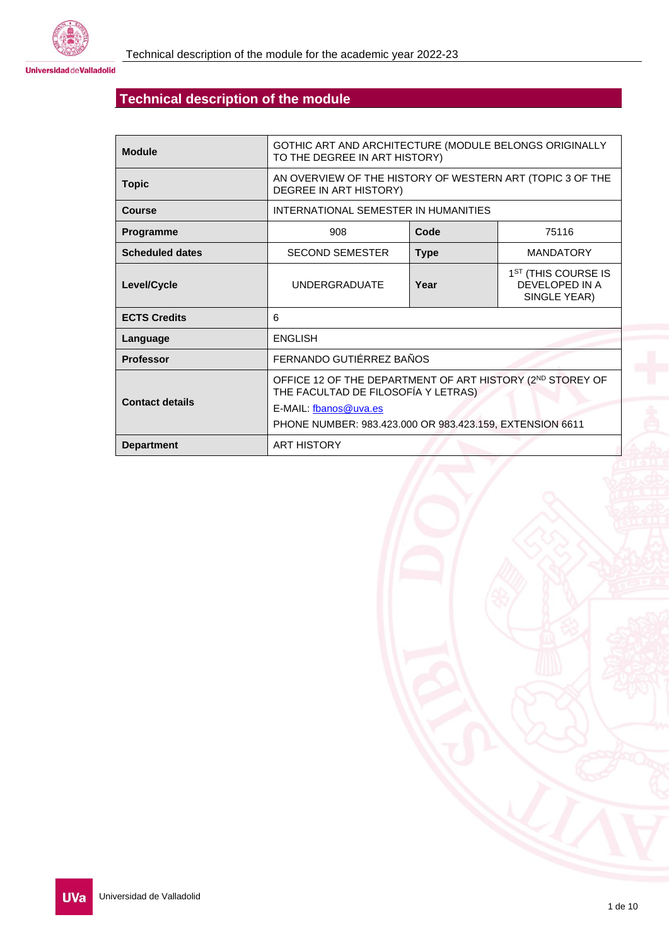

**Universidad de Valladolid** 

# **Technical description of the module**

| <b>Module</b>          | GOTHIC ART AND ARCHITECTURE (MODULE BELONGS ORIGINALLY<br>TO THE DEGREE IN ART HISTORY)                                                                                               |      |                                                                   |  |  |
|------------------------|---------------------------------------------------------------------------------------------------------------------------------------------------------------------------------------|------|-------------------------------------------------------------------|--|--|
| <b>Topic</b>           | AN OVERVIEW OF THE HISTORY OF WESTERN ART (TOPIC 3 OF THE<br>DEGREE IN ART HISTORY)                                                                                                   |      |                                                                   |  |  |
| <b>Course</b>          | INTERNATIONAL SEMESTER IN HUMANITIES                                                                                                                                                  |      |                                                                   |  |  |
| Programme              | 908<br>Code                                                                                                                                                                           |      | 75116                                                             |  |  |
| <b>Scheduled dates</b> | <b>SECOND SEMESTER</b><br><b>Type</b>                                                                                                                                                 |      | <b>MANDATORY</b>                                                  |  |  |
| Level/Cycle            | <b>UNDERGRADUATE</b>                                                                                                                                                                  | Year | 1 <sup>ST</sup> (THIS COURSE IS<br>DEVELOPED IN A<br>SINGLE YEAR) |  |  |
| <b>ECTS Credits</b>    | 6                                                                                                                                                                                     |      |                                                                   |  |  |
| Language               | <b>ENGLISH</b>                                                                                                                                                                        |      |                                                                   |  |  |
| <b>Professor</b>       | FERNANDO GUTIÉRREZ BAÑOS                                                                                                                                                              |      |                                                                   |  |  |
| <b>Contact details</b> | OFFICE 12 OF THE DEPARTMENT OF ART HISTORY (2ND STOREY OF<br>THE FACULTAD DE FILOSOFÍA Y LETRAS)<br>E-MAIL: fbanos@uva.es<br>PHONE NUMBER: 983.423.000 OR 983.423.159, EXTENSION 6611 |      |                                                                   |  |  |
| <b>Department</b>      | <b>ART HISTORY</b>                                                                                                                                                                    |      |                                                                   |  |  |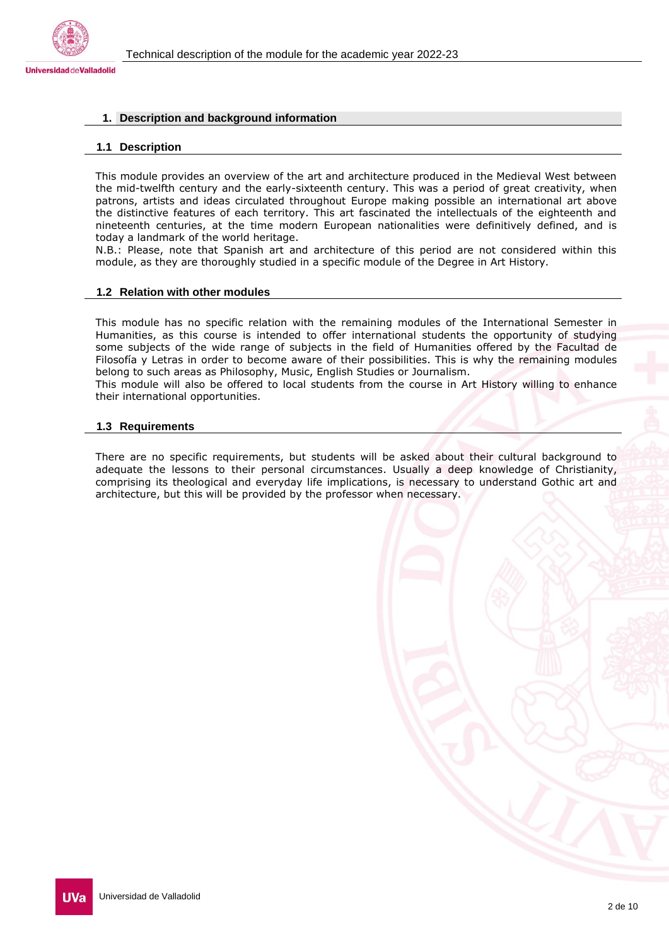

## **1. Description and background information**

#### **1.1 Description**

This module provides an overview of the art and architecture produced in the Medieval West between the mid-twelfth century and the early-sixteenth century. This was a period of great creativity, when patrons, artists and ideas circulated throughout Europe making possible an international art above the distinctive features of each territory. This art fascinated the intellectuals of the eighteenth and nineteenth centuries, at the time modern European nationalities were definitively defined, and is today a landmark of the world heritage.

N.B.: Please, note that Spanish art and architecture of this period are not considered within this module, as they are thoroughly studied in a specific module of the Degree in Art History.

#### **1.2 Relation with other modules**

This module has no specific relation with the remaining modules of the International Semester in Humanities, as this course is intended to offer international students the opportunity of studying some subjects of the wide range of subjects in the field of Humanities offered by the Facultad de Filosofía y Letras in order to become aware of their possibilities. This is why the remaining modules belong to such areas as Philosophy, Music, English Studies or Journalism.

This module will also be offered to local students from the course in Art History willing to enhance their international opportunities.

#### **1.3 Requirements**

There are no specific requirements, but students will be asked about their cultural background to adequate the lessons to their personal circumstances. Usually a deep knowledge of Christianity, comprising its theological and everyday life implications, is necessary to understand Gothic art and architecture, but this will be provided by the professor when necessary.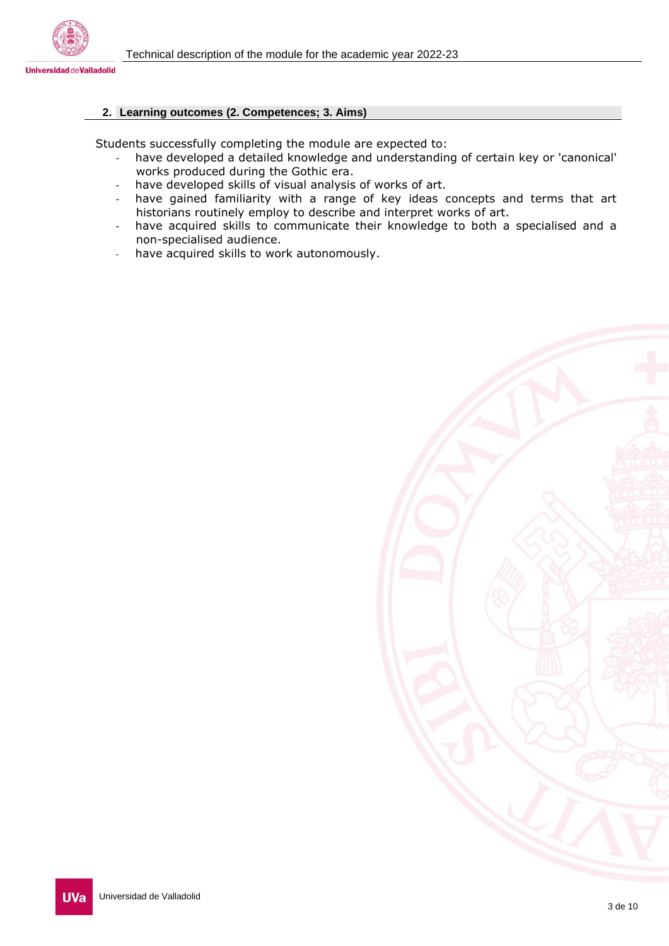

# **2. Learning outcomes (2. Competences; 3. Aims)**

Students successfully completing the module are expected to:

- have developed a detailed knowledge and understanding of certain key or 'canonical' works produced during the Gothic era.
- have developed skills of visual analysis of works of art.
- have gained familiarity with a range of key ideas concepts and terms that art historians routinely employ to describe and interpret works of art.
- have acquired skills to communicate their knowledge to both a specialised and a non-specialised audience.
- have acquired skills to work autonomously.

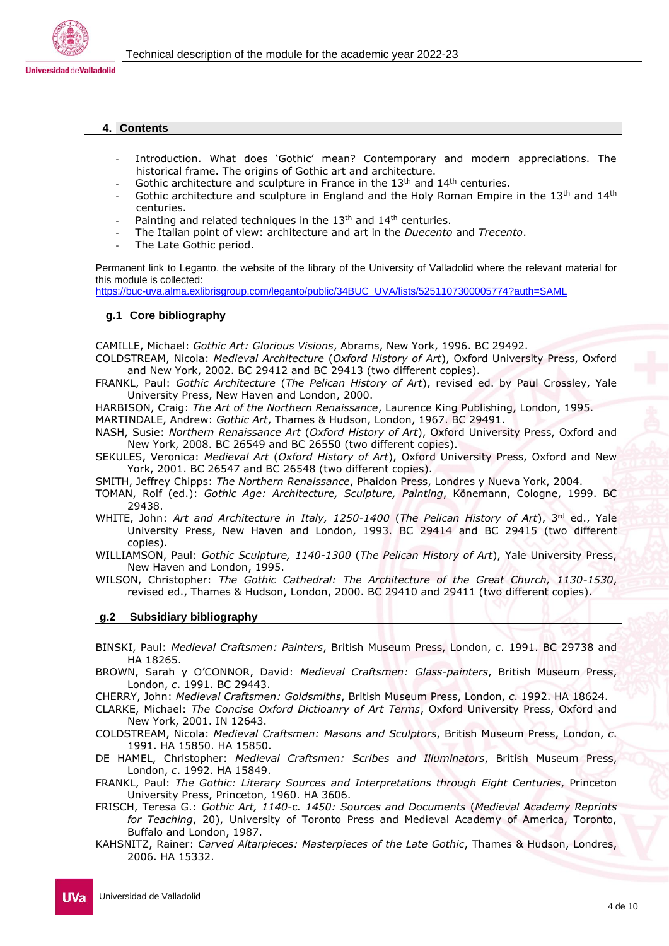

#### **4. Contents**

- Introduction. What does 'Gothic' mean? Contemporary and modern appreciations. The historical frame. The origins of Gothic art and architecture.
- Gothic architecture and sculpture in France in the  $13<sup>th</sup>$  and  $14<sup>th</sup>$  centuries.
- Gothic architecture and sculpture in England and the Holy Roman Empire in the  $13<sup>th</sup>$  and  $14<sup>th</sup>$ centuries.
- Painting and related techniques in the  $13<sup>th</sup>$  and  $14<sup>th</sup>$  centuries.
- The Italian point of view: architecture and art in the *Duecento* and *Trecento*.
- The Late Gothic period.

Permanent link to Leganto, the website of the library of the University of Valladolid where the relevant material for this module is collected:

[https://buc-uva.alma.exlibrisgroup.com/leganto/public/34BUC\\_UVA/lists/5251107300005774?auth=SAML](https://buc-uva.alma.exlibrisgroup.com/leganto/public/34BUC_UVA/lists/5251107300005774?auth=SAML)

#### **g.1 Core bibliography**

CAMILLE, Michael: *Gothic Art: Glorious Visions*, Abrams, New York, 1996. BC 29492.

- COLDSTREAM, Nicola: *Medieval Architecture* (*Oxford History of Art*), Oxford University Press, Oxford and New York, 2002. BC 29412 and BC 29413 (two different copies).
- FRANKL, Paul: *Gothic Architecture* (*The Pelican History of Art*), revised ed. by Paul Crossley, Yale University Press, New Haven and London, 2000.

HARBISON, Craig: *The Art of the Northern Renaissance*, Laurence King Publishing, London, 1995. MARTINDALE, Andrew: *Gothic Art*, Thames & Hudson, London, 1967. BC 29491.

- NASH, Susie: *Northern Renaissance Art* (*Oxford History of Art*), Oxford University Press, Oxford and New York, 2008. BC 26549 and BC 26550 (two different copies).
- SEKULES, Veronica: *Medieval Art* (*Oxford History of Art*), Oxford University Press, Oxford and New York, 2001. BC 26547 and BC 26548 (two different copies).
- SMITH, Jeffrey Chipps: *The Northern Renaissance*, Phaidon Press, Londres y Nueva York, 2004.
- TOMAN, Rolf (ed.): *Gothic Age: Architecture, Sculpture, Painting*, Könemann, Cologne, 1999. BC 29438.
- WHITE, John: *Art and Architecture in Italy, 1250-1400* (*The Pelican History of Art*), 3rd ed., Yale University Press, New Haven and London, 1993. BC 29414 and BC 29415 (two different copies).
- WILLIAMSON, Paul: *Gothic Sculpture, 1140-1300* (*The Pelican History of Art*), Yale University Press, New Haven and London, 1995.
- WILSON, Christopher: *The Gothic Cathedral: The Architecture of the Great Church, 1130-1530*, revised ed., Thames & Hudson, London, 2000. BC 29410 and 29411 (two different copies).

## **g.2 Subsidiary bibliography**

- BINSKI, Paul: *Medieval Craftsmen: Painters*, British Museum Press, London, *c*. 1991. BC 29738 and HA 18265.
- BROWN, Sarah y O'CONNOR, David: *Medieval Craftsmen: Glass-painters*, British Museum Press, London, *c*. 1991. BC 29443.
- CHERRY, John: *Medieval Craftsmen: Goldsmiths*, British Museum Press, London, *c*. 1992. HA 18624.
- CLARKE, Michael: *The Concise Oxford Dictioanry of Art Terms*, Oxford University Press, Oxford and New York, 2001. IN 12643.
- COLDSTREAM, Nicola: *Medieval Craftsmen: Masons and Sculptors*, British Museum Press, London, *c*. 1991. HA 15850. HA 15850.
- DE HAMEL, Christopher: *Medieval Craftsmen: Scribes and Illuminators*, British Museum Press, London, *c*. 1992. HA 15849.
- FRANKL, Paul: *The Gothic: Literary Sources and Interpretations through Eight Centuries*, Princeton University Press, Princeton, 1960. HA 3606.
- FRISCH, Teresa G.: *Gothic Art, 1140-*c*. 1450: Sources and Documents* (*Medieval Academy Reprints for Teaching*, 20), University of Toronto Press and Medieval Academy of America, Toronto, Buffalo and London, 1987.
- KAHSNITZ, Rainer: *Carved Altarpieces: Masterpieces of the Late Gothic*, Thames & Hudson, Londres, 2006. HA 15332.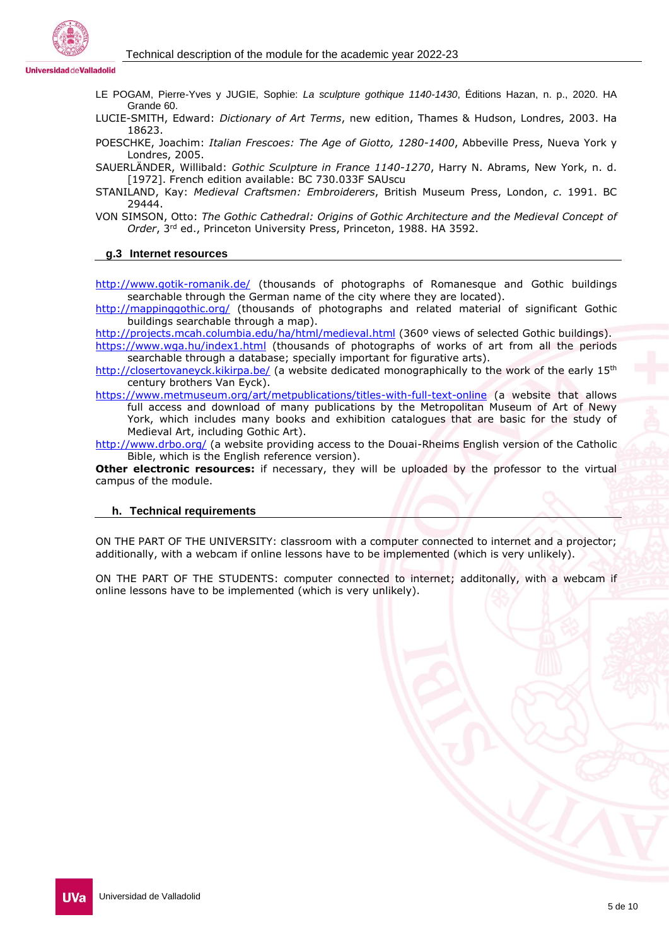

- LE POGAM, Pierre-Yves y JUGIE, Sophie: *La sculpture gothique 1140-1430*, Éditions Hazan, n. p., 2020. HA Grande 60.
- LUCIE-SMITH, Edward: *Dictionary of Art Terms*, new edition, Thames & Hudson, Londres, 2003. Ha 18623.
- POESCHKE, Joachim: *Italian Frescoes: The Age of Giotto, 1280-1400*, Abbeville Press, Nueva York y Londres, 2005.
- SAUERLÄNDER, Willibald: *Gothic Sculpture in France 1140-1270*, Harry N. Abrams, New York, n. d. [1972]. French edition available: BC 730.033F SAUscu
- STANILAND, Kay: *Medieval Craftsmen: Embroiderers*, British Museum Press, London, *c*. 1991. BC 29444.
- VON SIMSON, Otto: *The Gothic Cathedral: Origins of Gothic Architecture and the Medieval Concept of Order*, 3rd ed., Princeton University Press, Princeton, 1988. HA 3592.

## **g.3 Internet resources**

<http://www.gotik-romanik.de/> (thousands of photographs of Romanesque and Gothic buildings searchable through the German name of the city where they are located).

<http://mappinggothic.org/> (thousands of photographs and related material of significant Gothic buildings searchable through a map).

<http://projects.mcah.columbia.edu/ha/html/medieval.html> (360° views of selected Gothic buildings). <https://www.wga.hu/index1.html> (thousands of photographs of works of art from all the periods searchable through a database; specially important for figurative arts).

<http://closertovaneyck.kikirpa.be/> (a website dedicated monographically to the work of the early 15<sup>th</sup> century brothers Van Eyck).

<https://www.metmuseum.org/art/metpublications/titles-with-full-text-online> (a website that allows full access and download of many publications by the Metropolitan Museum of Art of Newy York, which includes many books and exhibition catalogues that are basic for the study of Medieval Art, including Gothic Art).

<http://www.drbo.org/> (a website providing access to the Douai-Rheims English version of the Catholic Bible, which is the English reference version).

**Other electronic resources:** if necessary, they will be uploaded by the professor to the virtual campus of the module.

## **h. Technical requirements**

ON THE PART OF THE UNIVERSITY: classroom with a computer connected to internet and a projector; additionally, with a webcam if online lessons have to be implemented (which is very unlikely).

ON THE PART OF THE STUDENTS: computer connected to internet; additonally, with a webcam if online lessons have to be implemented (which is very unlikely).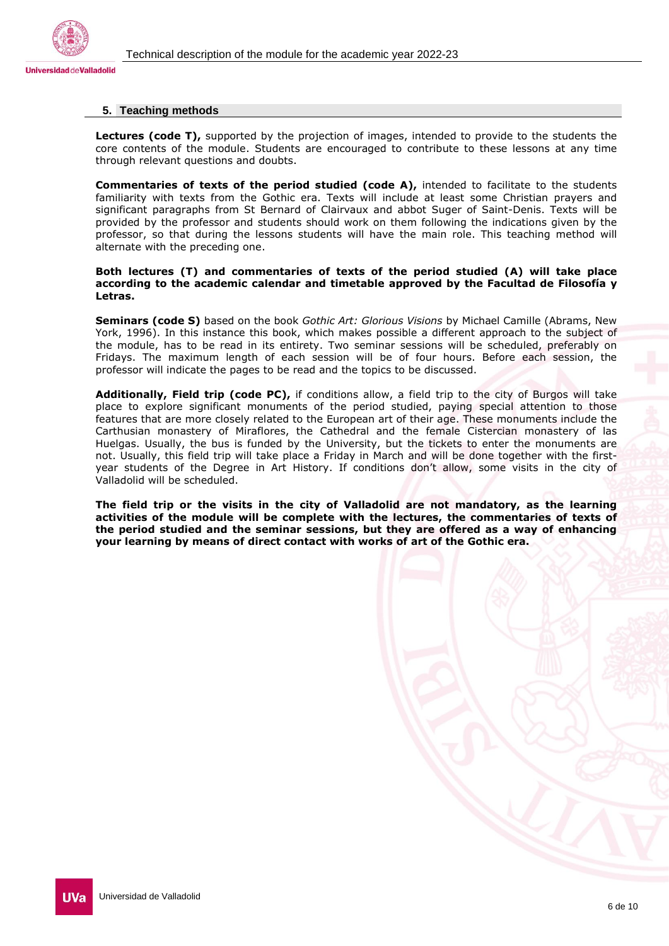



### **5. Teaching methods**

**Lectures (code T),** supported by the projection of images, intended to provide to the students the core contents of the module. Students are encouraged to contribute to these lessons at any time through relevant questions and doubts.

**Commentaries of texts of the period studied (code A),** intended to facilitate to the students familiarity with texts from the Gothic era. Texts will include at least some Christian prayers and significant paragraphs from St Bernard of Clairvaux and abbot Suger of Saint-Denis. Texts will be provided by the professor and students should work on them following the indications given by the professor, so that during the lessons students will have the main role. This teaching method will alternate with the preceding one.

#### **Both lectures (T) and commentaries of texts of the period studied (A) will take place according to the academic calendar and timetable approved by the Facultad de Filosofía y Letras.**

**Seminars (code S)** based on the book *Gothic Art: Glorious Visions* by Michael Camille (Abrams, New York, 1996). In this instance this book, which makes possible a different approach to the subject of the module, has to be read in its entirety. Two seminar sessions will be scheduled, preferably on Fridays. The maximum length of each session will be of four hours. Before each session, the professor will indicate the pages to be read and the topics to be discussed.

**Additionally, Field trip (code PC),** if conditions allow, a field trip to the city of Burgos will take place to explore significant monuments of the period studied, paying special attention to those features that are more closely related to the European art of their age. These monuments include the Carthusian monastery of Miraflores, the Cathedral and the female Cistercian monastery of las Huelgas. Usually, the bus is funded by the University, but the tickets to enter the monuments are not. Usually, this field trip will take place a Friday in March and will be done together with the firstyear students of the Degree in Art History. If conditions don't allow, some visits in the city of Valladolid will be scheduled.

**The field trip or the visits in the city of Valladolid are not mandatory, as the learning activities of the module will be complete with the lectures, the commentaries of texts of the period studied and the seminar sessions, but they are offered as a way of enhancing your learning by means of direct contact with works of art of the Gothic era.**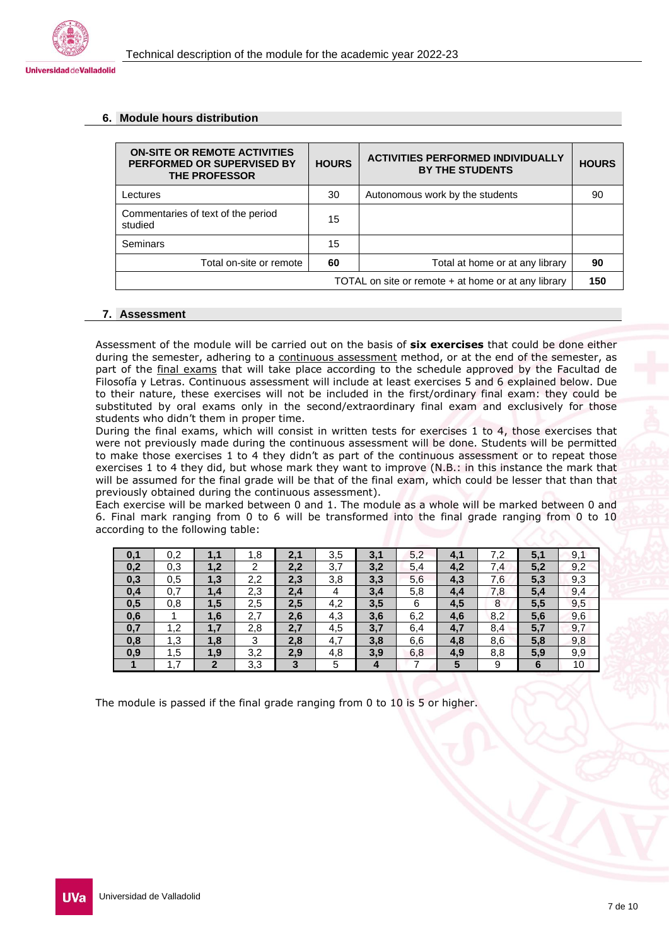

#### **6. Module hours distribution**

| <b>ON-SITE OR REMOTE ACTIVITIES</b><br>PERFORMED OR SUPERVISED BY<br><b>THE PROFESSOR</b> | <b>HOURS</b> | <b>ACTIVITIES PERFORMED INDIVIDUALLY</b><br><b>BY THE STUDENTS</b> | <b>HOURS</b> |  |
|-------------------------------------------------------------------------------------------|--------------|--------------------------------------------------------------------|--------------|--|
| Lectures                                                                                  | 30           | Autonomous work by the students                                    | 90           |  |
| Commentaries of text of the period<br>studied                                             | 15           |                                                                    |              |  |
| <b>Seminars</b>                                                                           | 15           |                                                                    |              |  |
| Total on-site or remote                                                                   | 60           | Total at home or at any library                                    | 90           |  |
| TOTAL on site or remote + at home or at any library                                       |              |                                                                    |              |  |

## **7. Assessment**

Assessment of the module will be carried out on the basis of **six exercises** that could be done either during the semester, adhering to a continuous assessment method, or at the end of the semester, as part of the final exams that will take place according to the schedule approved by the Facultad de Filosofía y Letras. Continuous assessment will include at least exercises 5 and 6 explained below. Due to their nature, these exercises will not be included in the first/ordinary final exam: they could be substituted by oral exams only in the second/extraordinary final exam and exclusively for those students who didn't them in proper time.

During the final exams, which will consist in written tests for exercises 1 to 4, those exercises that were not previously made during the continuous assessment will be done. Students will be permitted to make those exercises 1 to 4 they didn't as part of the continuous assessment or to repeat those exercises 1 to 4 they did, but whose mark they want to improve (N.B.: in this instance the mark that will be assumed for the final grade will be that of the final exam, which could be lesser that than that previously obtained during the continuous assessment).

Each exercise will be marked between 0 and 1. The module as a whole will be marked between 0 and 6. Final mark ranging from 0 to 6 will be transformed into the final grade ranging from 0 to 10 according to the following table:

| 0,1 | 0,2 | 1.1          | 1,8 | 2,1 | 3,5 | 3,1 | 5,2 | 4,1 | 7,2 | 5,1 | 9,1             |
|-----|-----|--------------|-----|-----|-----|-----|-----|-----|-----|-----|-----------------|
| 0,2 | 0,3 | 1,2          | 2   | 2,2 | 3,7 | 3,2 | 5,4 | 4,2 | 7,4 | 5,2 | 9,2             |
| 0,3 | 0,5 | 1,3          | 2,2 | 2,3 | 3,8 | 3,3 | 5,6 | 4,3 | 7,6 | 5,3 | 9,3             |
| 0,4 | 0,7 | 1,4          | 2,3 | 2,4 | 4   | 3,4 | 5,8 | 4,4 | 7,8 | 5,4 | 9,4             |
| 0,5 | 0,8 | 1,5          | 2,5 | 2,5 | 4,2 | 3,5 | 6   | 4,5 | 8   | 5,5 | 9,5             |
| 0,6 |     | 1,6          | 2,7 | 2,6 | 4,3 | 3,6 | 6,2 | 4,6 | 8,2 | 5,6 | 9,6             |
| 0,7 | 1,2 | 1.7          | 2,8 | 2,7 | 4,5 | 3,7 | 6,4 | 4,7 | 8,4 | 5,7 | 9,7             |
| 0,8 | 1,3 | 1,8          | 3   | 2,8 | 4,7 | 3,8 | 6,6 | 4,8 | 8,6 | 5,8 | 9,8             |
| 0,9 | 1,5 | 1,9          | 3,2 | 2,9 | 4,8 | 3,9 | 6,8 | 4,9 | 8,8 | 5.9 | 9,9             |
|     | 1.7 | $\mathbf{2}$ | 3,3 | 3   | 5   | 4   |     | 5   | 9   | 6   | 10 <sub>1</sub> |

The module is passed if the final grade ranging from 0 to 10 is 5 or higher.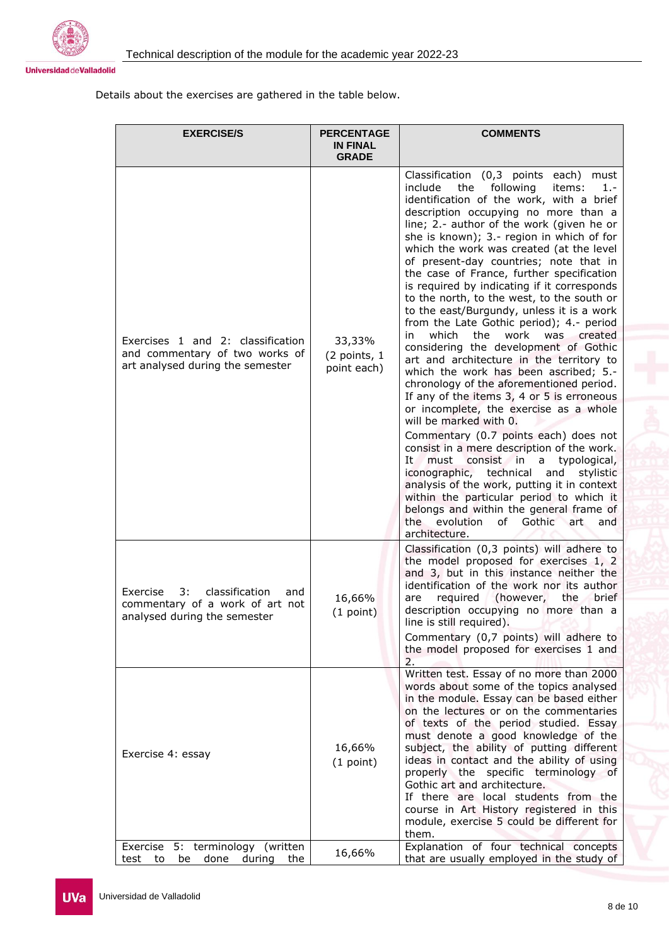



## Details about the exercises are gathered in the table below.

| <b>EXERCISE/S</b>                                                                                          | <b>PERCENTAGE</b><br><b>IN FINAL</b><br><b>GRADE</b> | <b>COMMENTS</b>                                                                                                                                                                                                                                                                                                                                                                                                                                                                                                                                                                                                                                                                                                                                                                                                                                                                                                                                                                                                                                                                                                                                                                                                                                                                                                                     |
|------------------------------------------------------------------------------------------------------------|------------------------------------------------------|-------------------------------------------------------------------------------------------------------------------------------------------------------------------------------------------------------------------------------------------------------------------------------------------------------------------------------------------------------------------------------------------------------------------------------------------------------------------------------------------------------------------------------------------------------------------------------------------------------------------------------------------------------------------------------------------------------------------------------------------------------------------------------------------------------------------------------------------------------------------------------------------------------------------------------------------------------------------------------------------------------------------------------------------------------------------------------------------------------------------------------------------------------------------------------------------------------------------------------------------------------------------------------------------------------------------------------------|
| Exercises 1 and 2: classification<br>and commentary of two works of<br>art analysed during the semester    | 33,33%<br>(2 points, 1<br>point each)                | Classification (0,3 points each)<br>must<br>following<br>include<br>the<br>items:<br>1.-<br>identification of the work, with a brief<br>description occupying no more than a<br>line; 2.- author of the work (given he or<br>she is known); 3.- region in which of for<br>which the work was created (at the level<br>of present-day countries; note that in<br>the case of France, further specification<br>is required by indicating if it corresponds<br>to the north, to the west, to the south or<br>to the east/Burgundy, unless it is a work<br>from the Late Gothic period); 4.- period<br>which<br>the<br>work<br>was created<br>in.<br>considering the development of Gothic<br>art and architecture in the territory to<br>which the work has been ascribed; 5.-<br>chronology of the aforementioned period.<br>If any of the items 3, 4 or 5 is erroneous<br>or incomplete, the exercise as a whole<br>will be marked with 0.<br>Commentary (0.7 points each) does not<br>consist in a mere description of the work.<br>must<br>consist in a<br>typological,<br>It<br>iconographic, technical<br>and<br>stylistic<br>analysis of the work, putting it in context<br>within the particular period to which it<br>belongs and within the general frame of<br>the<br>evolution<br>of Gothic<br>art<br>and<br>architecture. |
| classification<br>Exercise<br>3:<br>and<br>commentary of a work of art not<br>analysed during the semester | 16,66%<br>(1 point)                                  | Classification (0,3 points) will adhere to<br>the model proposed for exercises 1, 2<br>and 3, but in this instance neither the<br>identification of the work nor its author<br>(however,<br>the<br>required<br>brief<br>are<br>description occupying no more than a<br>line is still required).<br>Commentary (0,7 points) will adhere to<br>the model proposed for exercises 1 and<br>2.                                                                                                                                                                                                                                                                                                                                                                                                                                                                                                                                                                                                                                                                                                                                                                                                                                                                                                                                           |
| Exercise 4: essay<br>Exercise 5: terminology (written                                                      | 16,66%<br>(1 point)                                  | Written test. Essay of no more than 2000<br>words about some of the topics analysed<br>in the module. Essay can be based either<br>on the lectures or on the commentaries<br>of texts of the period studied. Essay<br>must denote a good knowledge of the<br>subject, the ability of putting different<br>ideas in contact and the ability of using<br>properly the specific terminology of<br>Gothic art and architecture.<br>If there are local students from the<br>course in Art History registered in this<br>module, exercise 5 could be different for<br>them.<br>Explanation of four technical concepts                                                                                                                                                                                                                                                                                                                                                                                                                                                                                                                                                                                                                                                                                                                     |
| to<br>be<br>done<br>during<br>the<br>test                                                                  | 16,66%                                               | that are usually employed in the study of                                                                                                                                                                                                                                                                                                                                                                                                                                                                                                                                                                                                                                                                                                                                                                                                                                                                                                                                                                                                                                                                                                                                                                                                                                                                                           |